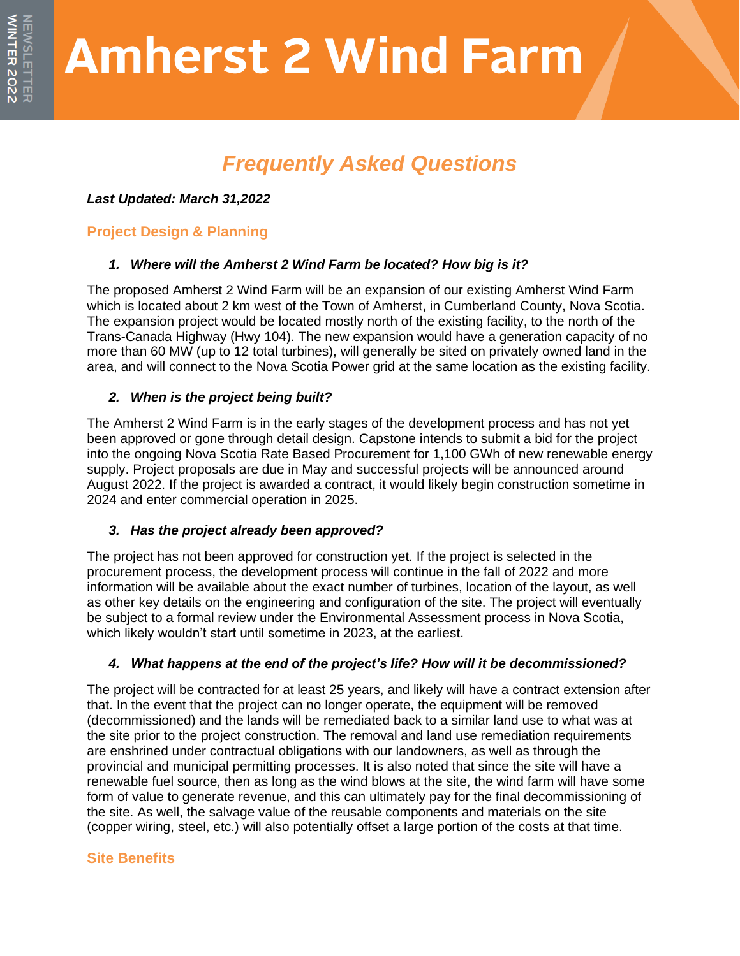# **Amherst 2 Wind Farm**

# *Frequently Asked Questions*

*Last Updated: March 31,2022*

# **Project Design & Planning**

# *1. Where will the Amherst 2 Wind Farm be located? How big is it?*

The proposed Amherst 2 Wind Farm will be an expansion of our existing Amherst Wind Farm which is located about 2 km west of the Town of Amherst, in Cumberland County, Nova Scotia. The expansion project would be located mostly north of the existing facility, to the north of the Trans-Canada Highway (Hwy 104). The new expansion would have a generation capacity of no more than 60 MW (up to 12 total turbines), will generally be sited on privately owned land in the area, and will connect to the Nova Scotia Power grid at the same location as the existing facility.

# *2. When is the project being built?*

The Amherst 2 Wind Farm is in the early stages of the development process and has not yet been approved or gone through detail design. Capstone intends to submit a bid for the project into the ongoing Nova Scotia Rate Based Procurement for 1,100 GWh of new renewable energy supply. Project proposals are due in May and successful projects will be announced around August 2022. If the project is awarded a contract, it would likely begin construction sometime in 2024 and enter commercial operation in 2025.

# *3. Has the project already been approved?*

The project has not been approved for construction yet. If the project is selected in the procurement process, the development process will continue in the fall of 2022 and more information will be available about the exact number of turbines, location of the layout, as well as other key details on the engineering and configuration of the site. The project will eventually be subject to a formal review under the Environmental Assessment process in Nova Scotia, which likely wouldn't start until sometime in 2023, at the earliest.

# *4. What happens at the end of the project's life? How will it be decommissioned?*

The project will be contracted for at least 25 years, and likely will have a contract extension after that. In the event that the project can no longer operate, the equipment will be removed (decommissioned) and the lands will be remediated back to a similar land use to what was at the site prior to the project construction. The removal and land use remediation requirements are enshrined under contractual obligations with our landowners, as well as through the provincial and municipal permitting processes. It is also noted that since the site will have a renewable fuel source, then as long as the wind blows at the site, the wind farm will have some form of value to generate revenue, and this can ultimately pay for the final decommissioning of the site. As well, the salvage value of the reusable components and materials on the site (copper wiring, steel, etc.) will also potentially offset a large portion of the costs at that time.

# **Site Benefits**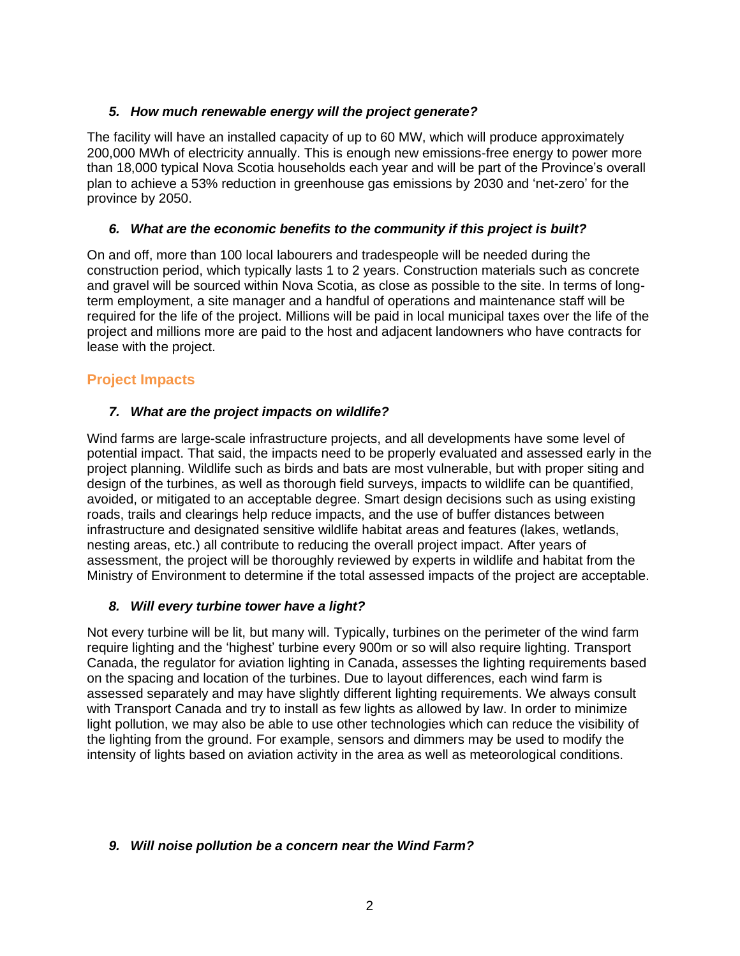#### *5. How much renewable energy will the project generate?*

The facility will have an installed capacity of up to 60 MW, which will produce approximately 200,000 MWh of electricity annually. This is enough new emissions-free energy to power more than 18,000 typical Nova Scotia households each year and will be part of the Province's overall plan to achieve a 53% reduction in greenhouse gas emissions by 2030 and 'net-zero' for the province by 2050.

#### *6. What are the economic benefits to the community if this project is built?*

On and off, more than 100 local labourers and tradespeople will be needed during the construction period, which typically lasts 1 to 2 years. Construction materials such as concrete and gravel will be sourced within Nova Scotia, as close as possible to the site. In terms of longterm employment, a site manager and a handful of operations and maintenance staff will be required for the life of the project. Millions will be paid in local municipal taxes over the life of the project and millions more are paid to the host and adjacent landowners who have contracts for lease with the project.

#### **Project Impacts**

#### *7. What are the project impacts on wildlife?*

Wind farms are large-scale infrastructure projects, and all developments have some level of potential impact. That said, the impacts need to be properly evaluated and assessed early in the project planning. Wildlife such as birds and bats are most vulnerable, but with proper siting and design of the turbines, as well as thorough field surveys, impacts to wildlife can be quantified, avoided, or mitigated to an acceptable degree. Smart design decisions such as using existing roads, trails and clearings help reduce impacts, and the use of buffer distances between infrastructure and designated sensitive wildlife habitat areas and features (lakes, wetlands, nesting areas, etc.) all contribute to reducing the overall project impact. After years of assessment, the project will be thoroughly reviewed by experts in wildlife and habitat from the Ministry of Environment to determine if the total assessed impacts of the project are acceptable.

#### *8. Will every turbine tower have a light?*

Not every turbine will be lit, but many will. Typically, turbines on the perimeter of the wind farm require lighting and the 'highest' turbine every 900m or so will also require lighting. Transport Canada, the regulator for aviation lighting in Canada, assesses the lighting requirements based on the spacing and location of the turbines. Due to layout differences, each wind farm is assessed separately and may have slightly different lighting requirements. We always consult with Transport Canada and try to install as few lights as allowed by law. In order to minimize light pollution, we may also be able to use other technologies which can reduce the visibility of the lighting from the ground. For example, sensors and dimmers may be used to modify the intensity of lights based on aviation activity in the area as well as meteorological conditions.

#### *9. Will noise pollution be a concern near the Wind Farm?*